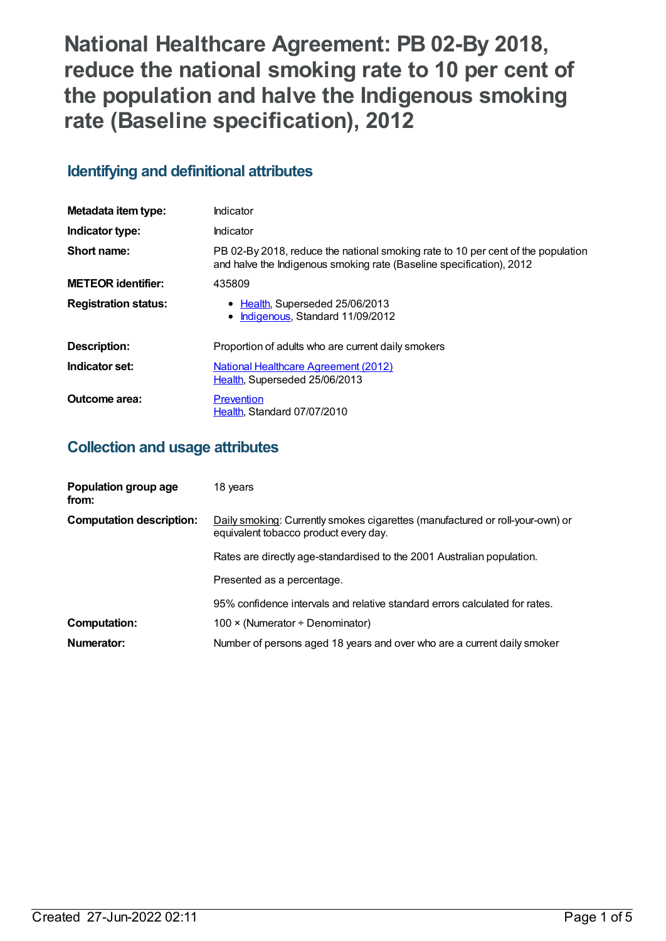**National Healthcare Agreement: PB 02-By 2018, reduce the national smoking rate to 10 per cent of the population and halve the Indigenous smoking rate (Baseline specification), 2012**

## **Identifying and definitional attributes**

| Metadata item type:         | Indicator                                                                                                                                                |
|-----------------------------|----------------------------------------------------------------------------------------------------------------------------------------------------------|
| Indicator type:             | Indicator                                                                                                                                                |
| Short name:                 | PB 02-By 2018, reduce the national smoking rate to 10 per cent of the population<br>and halve the Indigenous smoking rate (Baseline specification), 2012 |
| <b>METEOR identifier:</b>   | 435809                                                                                                                                                   |
| <b>Registration status:</b> | • Health, Superseded 25/06/2013<br>• Indigenous, Standard 11/09/2012                                                                                     |
| <b>Description:</b>         | Proportion of adults who are current daily smokers                                                                                                       |
| Indicator set:              | National Healthcare Agreement (2012)<br>Health, Superseded 25/06/2013                                                                                    |
| Outcome area:               | Prevention<br>Health, Standard 07/07/2010                                                                                                                |

### **Collection and usage attributes**

| Population group age<br>from:   | 18 years                                                                                                               |
|---------------------------------|------------------------------------------------------------------------------------------------------------------------|
| <b>Computation description:</b> | Daily smoking: Currently smokes cigarettes (manufactured or roll-your-own) or<br>equivalent tobacco product every day. |
|                                 | Rates are directly age-standardised to the 2001 Australian population.                                                 |
|                                 | Presented as a percentage.                                                                                             |
|                                 | 95% confidence intervals and relative standard errors calculated for rates.                                            |
| <b>Computation:</b>             | $100 \times (N$ umerator ÷ Denominator)                                                                                |
| Numerator:                      | Number of persons aged 18 years and over who are a current daily smoker                                                |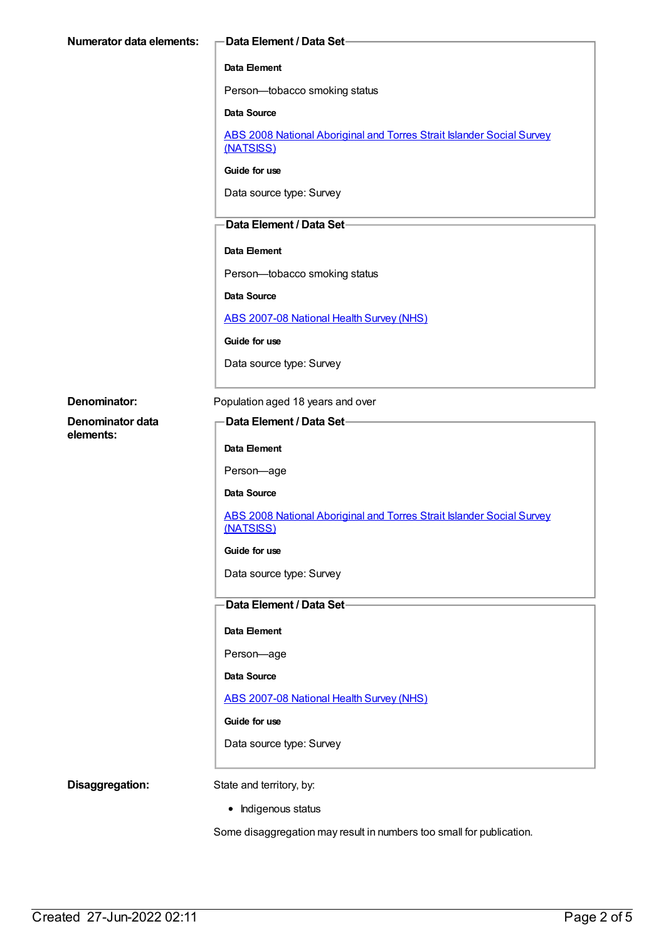| Numerator data elements: | -Data Element / Data Set-                                                          |
|--------------------------|------------------------------------------------------------------------------------|
|                          | Data Element                                                                       |
|                          | Person-tobacco smoking status                                                      |
|                          | <b>Data Source</b>                                                                 |
|                          | ABS 2008 National Aboriginal and Torres Strait Islander Social Survey<br>(NATSISS) |
|                          | Guide for use                                                                      |
|                          | Data source type: Survey                                                           |
|                          | -Data Element / Data Set-                                                          |
|                          | Data Element                                                                       |
|                          | Person-tobacco smoking status                                                      |
|                          | <b>Data Source</b>                                                                 |
|                          | ABS 2007-08 National Health Survey (NHS)                                           |
|                          | Guide for use                                                                      |
|                          | Data source type: Survey                                                           |
| Denominator:             | Population aged 18 years and over                                                  |
| Denominator data         | Data Element / Data Set-                                                           |
| elements:                | Data Element                                                                       |
|                          | Person-age                                                                         |
|                          | Data Source                                                                        |
|                          | ABS 2008 National Aboriginal and Torres Strait Islander Social Survey<br>(NATSISS) |
|                          | Guide for use                                                                      |
|                          | Data source type: Survey                                                           |
|                          | Data Element / Data Set-                                                           |
|                          | Data Element                                                                       |
|                          | Person-age                                                                         |
|                          | Data Source                                                                        |
|                          | ABS 2007-08 National Health Survey (NHS)                                           |
|                          | Guide for use                                                                      |
|                          | Data source type: Survey                                                           |
| Disaggregation:          | State and territory, by:                                                           |
|                          | • Indigenous status                                                                |

Some disaggregation may result in numbers too small for publication.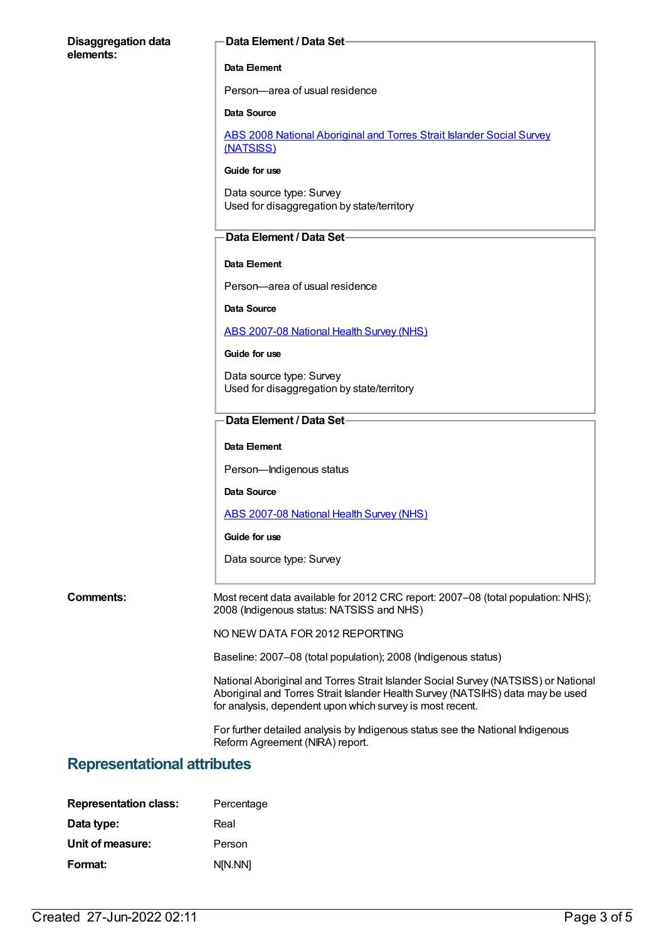#### **Disaggregation data elements:**

#### **Data Element / Data Set**

#### **Data Element**

Person—area of usual residence

#### **Data Source**

ABS 2008 National [Aboriginal](https://meteor.aihw.gov.au/content/393863) and Torres Strait Islander Social Survey (NATSISS)

#### **Guide for use**

Data source type: Survey Used for disaggregation by state/territory

### **Data Element / Data Set**

#### **Data Element**

Person—area of usual residence

#### **Data Source**

ABS [2007-08](https://meteor.aihw.gov.au/content/394103) National Health Survey (NHS)

#### **Guide for use**

Data source type: Survey Used for disaggregation by state/territory

### **Data Element / Data Set**

#### **Data Element**

Person—Indigenous status

**Data Source**

ABS [2007-08](https://meteor.aihw.gov.au/content/394103) National Health Survey (NHS)

#### **Guide for use**

Data source type: Survey

**Comments:** Most recent data available for 2012 CRC report: 2007–08 (total population: NHS); 2008 (Indigenous status: NATSISS and NHS)

NO NEW DATA FOR 2012 REPORTING

Baseline: 2007–08 (total population); 2008 (Indigenous status)

National Aboriginal and Torres Strait Islander Social Survey (NATSISS) or National Aboriginal and Torres Strait Islander Health Survey (NATSIHS) data may be used for analysis, dependent upon which survey is most recent.

For further detailed analysis by Indigenous status see the National Indigenous Reform Agreement (NIRA) report.

### **Representational attributes**

| <b>Representation class:</b> | Percentage |
|------------------------------|------------|
| Data type:                   | Real       |
| Unit of measure:             | Person     |
| Format:                      | N[N.NN]    |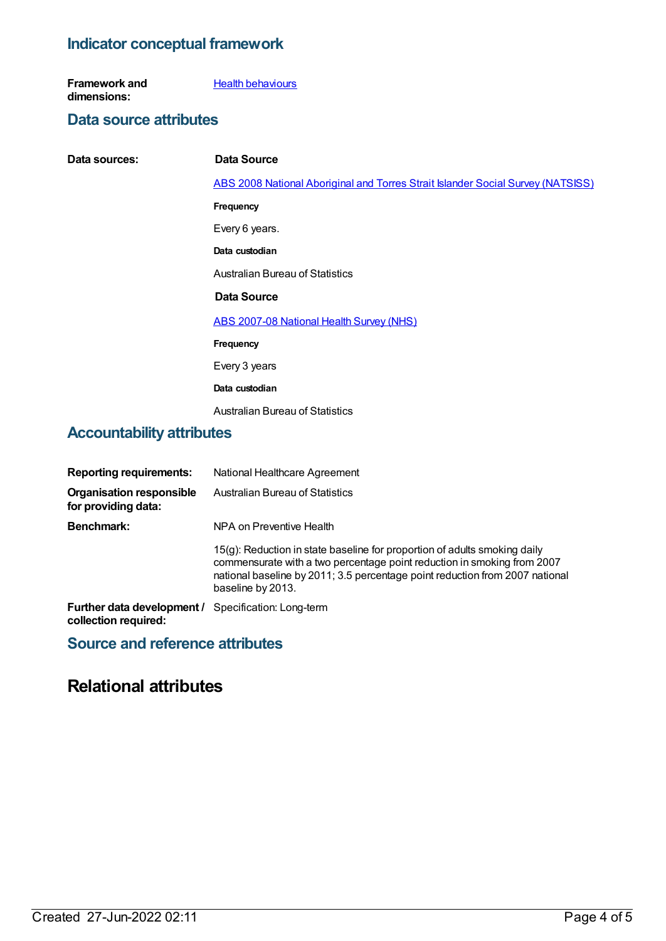### **Indicator conceptual framework**

**Framework and dimensions: Health [behaviours](https://meteor.aihw.gov.au/content/392579)** 

### **Data source attributes**

| Data sources:                    | Data Source                                                                            |
|----------------------------------|----------------------------------------------------------------------------------------|
|                                  | <b>ABS 2008 National Aboriginal and Torres Strait Islander Social Survey (NATSISS)</b> |
|                                  | Frequency                                                                              |
|                                  | Every 6 years.                                                                         |
|                                  | Data custodian                                                                         |
|                                  | Australian Bureau of Statistics                                                        |
|                                  | Data Source                                                                            |
|                                  | <b>ABS 2007-08 National Health Survey (NHS)</b>                                        |
|                                  | Frequency                                                                              |
|                                  | Every 3 years                                                                          |
|                                  | Data custodian                                                                         |
|                                  | <b>Australian Bureau of Statistics</b>                                                 |
| <b>Accountability attributes</b> |                                                                                        |

| <b>Reporting requirements:</b>                                                     | National Healthcare Agreement                                                                                                                                                                                                                             |
|------------------------------------------------------------------------------------|-----------------------------------------------------------------------------------------------------------------------------------------------------------------------------------------------------------------------------------------------------------|
| <b>Organisation responsible</b><br>for providing data:                             | <b>Australian Bureau of Statistics</b>                                                                                                                                                                                                                    |
| <b>Benchmark:</b>                                                                  | NPA on Preventive Health                                                                                                                                                                                                                                  |
|                                                                                    | 15(g): Reduction in state baseline for proportion of adults smoking daily<br>commensurate with a two percentage point reduction in smoking from 2007<br>national baseline by 2011; 3.5 percentage point reduction from 2007 national<br>baseline by 2013. |
| <b>Further data development / Specification: Long-term</b><br>collection required: |                                                                                                                                                                                                                                                           |

# **Source and reference attributes**

# **Relational attributes**